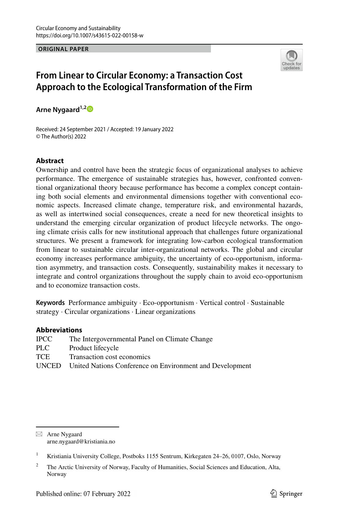**ORIGINAL PAPER**



# **From Linear to Circular Economy: a Transaction Cost Approach to the Ecological Transformation of the Firm**

**Arne Nygaard1,[2](http://orcid.org/0000-0002-6179-4233)**

Received: 24 September 2021 / Accepted: 19 January 2022 © The Author(s) 2022

### **Abstract**

Ownership and control have been the strategic focus of organizational analyses to achieve performance. The emergence of sustainable strategies has, however, confronted conventional organizational theory because performance has become a complex concept containing both social elements and environmental dimensions together with conventional economic aspects. Increased climate change, temperature risk, and environmental hazards, as well as intertwined social consequences, create a need for new theoretical insights to understand the emerging circular organization of product lifecycle networks. The ongoing climate crisis calls for new institutional approach that challenges future organizational structures. We present a framework for integrating low-carbon ecological transformation from linear to sustainable circular inter-organizational networks. The global and circular economy increases performance ambiguity, the uncertainty of eco-opportunism, information asymmetry, and transaction costs. Consequently, sustainability makes it necessary to integrate and control organizations throughout the supply chain to avoid eco-opportunism and to economize transaction costs.

**Keywords** Performance ambiguity · Eco-opportunism · Vertical control · Sustainable strategy · Circular organizations · Linear organizations

### **Abbreviations**

| IPCC . | The Intergovernmental Panel on Climate Change            |
|--------|----------------------------------------------------------|
| PLC-   | Product lifecycle                                        |
| TCE    | Transaction cost economics                               |
| UNCED  | United Nations Conference on Environment and Development |
|        |                                                          |

 $\boxtimes$  Arne Nygaard arne.nygaard@kristiania.no

<sup>&</sup>lt;sup>1</sup> Kristiania University College, Postboks 1155 Sentrum, Kirkegaten 24–26, 0107, Oslo, Norway

<sup>&</sup>lt;sup>2</sup> The Arctic University of Norway, Faculty of Humanities, Social Sciences and Education, Alta, Norway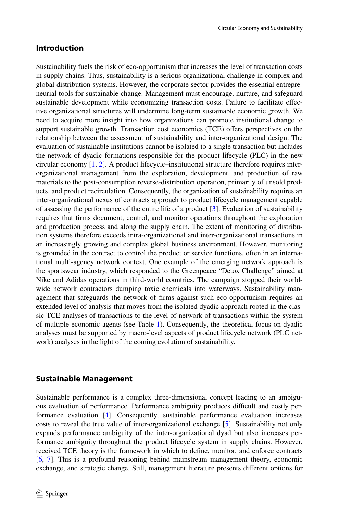### **Introduction**

Sustainability fuels the risk of eco-opportunism that increases the level of transaction costs in supply chains. Thus, sustainability is a serious organizational challenge in complex and global distribution systems. However, the corporate sector provides the essential entrepreneurial tools for sustainable change. Management must encourage, nurture, and safeguard sustainable development while economizing transaction costs. Failure to facilitate efective organizational structures will undermine long-term sustainable economic growth. We need to acquire more insight into how organizations can promote institutional change to support sustainable growth. Transaction cost economics (TCE) offers perspectives on the relationship between the assessment of sustainability and inter-organizational design. The evaluation of sustainable institutions cannot be isolated to a single transaction but includes the network of dyadic formations responsible for the product lifecycle (PLC) in the new circular economy [[1](#page-14-0), [2](#page-14-1)]. A product lifecycle–institutional structure therefore requires interorganizational management from the exploration, development, and production of raw materials to the post-consumption reverse-distribution operation, primarily of unsold products, and product recirculation. Consequently, the organization of sustainability requires an inter-organizational nexus of contracts approach to product lifecycle management capable of assessing the performance of the entire life of a product [\[3\]](#page-14-2). Evaluation of sustainability requires that frms document, control, and monitor operations throughout the exploration and production process and along the supply chain. The extent of monitoring of distribution systems therefore exceeds intra-organizational and inter-organizational transactions in an increasingly growing and complex global business environment. However, monitoring is grounded in the contract to control the product or service functions, often in an international multi-agency network context. One example of the emerging network approach is the sportswear industry, which responded to the Greenpeace "Detox Challenge" aimed at Nike and Adidas operations in third-world countries. The campaign stopped their worldwide network contractors dumping toxic chemicals into waterways. Sustainability management that safeguards the network of frms against such eco-opportunism requires an extended level of analysis that moves from the isolated dyadic approach rooted in the classic TCE analyses of transactions to the level of network of transactions within the system of multiple economic agents (see Table [1\)](#page-2-0). Consequently, the theoretical focus on dyadic analyses must be supported by macro-level aspects of product lifecycle network (PLC network) analyses in the light of the coming evolution of sustainability.

## **Sustainable Management**

Sustainable performance is a complex three-dimensional concept leading to an ambiguous evaluation of performance. Performance ambiguity produces difcult and costly performance evaluation [\[4\]](#page-14-3). Consequently, sustainable performance evaluation increases costs to reveal the true value of inter-organizational exchange [[5\]](#page-14-4). Sustainability not only expands performance ambiguity of the inter-organizational dyad but also increases performance ambiguity throughout the product lifecycle system in supply chains. However, received TCE theory is the framework in which to defne, monitor, and enforce contracts [[6,](#page-14-5) [7\]](#page-14-6). This is a profound reasoning behind mainstream management theory, economic exchange, and strategic change. Still, management literature presents diferent options for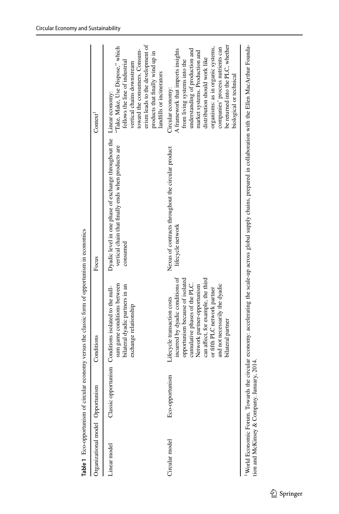| lifecycle network<br>consumed<br>incurred by dyadic conditions of<br>opportunism because of isolated<br>can affect, for example, the third<br>cumulative phases of the PLC.<br>sum game conditions between<br>Network partner-opportunism<br>bilateral dyadic partners in an<br>Classic opportunism Conditions isolated to the null-<br>or fifth PLC network partner<br>Lifecycle transaction costs<br>exchange relationship<br>Eco-opportunism<br>Circular model<br>Linear model |                                                                                                                            |                                                                                                                                                                                                                                                                                                                                       |
|-----------------------------------------------------------------------------------------------------------------------------------------------------------------------------------------------------------------------------------------------------------------------------------------------------------------------------------------------------------------------------------------------------------------------------------------------------------------------------------|----------------------------------------------------------------------------------------------------------------------------|---------------------------------------------------------------------------------------------------------------------------------------------------------------------------------------------------------------------------------------------------------------------------------------------------------------------------------------|
|                                                                                                                                                                                                                                                                                                                                                                                                                                                                                   | Dyadic level in one phase of exchange throughout the Linear economy:<br>vertical chain that finally ends when products are | erism leads to the development of<br>"Take, Make, Use Dispose," which<br>toward the consumers. Consum-<br>products that finally wind up in<br>follows the line of industrial<br>vertical chains downstream<br>landfills or incinerators                                                                                               |
| bilateral partner                                                                                                                                                                                                                                                                                                                                                                                                                                                                 | Nexus of contracts throughout the circular product<br>and not necessarily the dyadic                                       | be returned into the PLC, whether<br>organisms: as in organic systems,<br>companies' process nutrients can<br>understanding of production and<br>A framework that imports insights<br>market systems. Production and<br>distribution should work like<br>from living systems into the<br>biological or technical<br>Circular economy: |

<span id="page-2-0"></span>Table 1 Eco-opportunism of circular economy versus the classic form of opportunism in economics **Table 1** Eco-opportunism of circular economy versus the classic form of opportunism in economics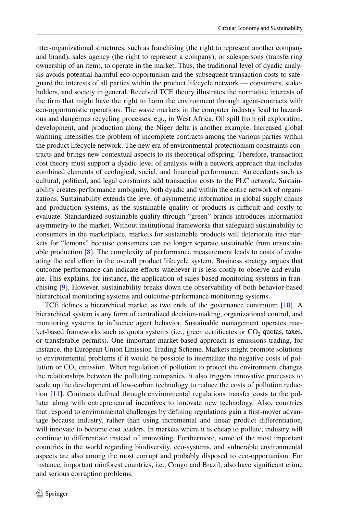inter-organizational structures, such as franchising (the right to represent another company and brand), sales agency (the right to represent a company), or salespersons (transferring ownership of an item), to operate in the market. Thus, the traditional level of dyadic analysis avoids potential harmful eco-opportunism and the subsequent transaction costs to safeguard the interests of all parties within the product lifecycle network — consumers, stakeholders, and society in general. Received TCE theory illustrates the normative interests of the frm that might have the right to harm the environment through agent-contracts with eco-opportunistic operations. The waste markets in the computer industry lead to hazardous and dangerous recycling processes, e.g., in West Africa. Oil spill from oil exploration, development, and production along the Niger delta is another example. Increased global warming intensifes the problem of incomplete contracts among the various parties within the product lifecycle network. The new era of environmental protectionism constraints contracts and brings new contextual aspects to its theoretical ofspring. Therefore, transaction cost theory must support a dyadic level of analysis with a network approach that includes combined elements of ecological, social, and fnancial performance. Antecedents such as cultural, political, and legal constraints add transaction costs to the PLC network. Sustainability creates performance ambiguity, both dyadic and within the entire network of organizations. Sustainability extends the level of asymmetric information in global supply chains and production systems, as the sustainable quality of products is difficult and costly to evaluate. Standardized sustainable quality through "green" brands introduces information asymmetry to the market. Without institutional frameworks that safeguard sustainability to consumers in the marketplace, markets for sustainable products will deteriorate into markets for "lemons" because consumers can no longer separate sustainable from unsustainable production [[8](#page-14-7)]. The complexity of performance measurement leads to costs of evaluating the real efort in the overall product lifecycle system. Business strategy argues that outcome performance can indicate eforts whenever it is less costly to observe and evaluate. This explains, for instance, the application of sales-based monitoring systems in franchising [\[9\]](#page-14-8). However, sustainability breaks down the observability of both behavior-based hierarchical monitoring systems and outcome-performance monitoring systems.

TCE defnes a hierarchical market as two ends of the governance continuum [\[10\]](#page-14-9). A hierarchical system is any form of centralized decision-making, organizational control, and monitoring systems to infuence agent behavior. Sustainable management operates market-based frameworks such as quota systems (i.e., green certificates or  $CO<sub>2</sub>$  quotas, taxes, or transferable permits). One important market-based approach is emissions trading, for instance, the European Union Emission Trading Scheme. Markets might promote solutions to environmental problems if it would be possible to internalize the negative costs of pollution or  $CO<sub>2</sub>$  emission. When regulation of pollution to protect the environment changes the relationships between the polluting companies, it also triggers innovative processes to scale up the development of low-carbon technology to reduce the costs of pollution reduction [\[11\]](#page-14-10). Contracts defned through environmental regulations transfer costs to the polluter along with entrepreneurial incentives to innovate new technology. Also, countries that respond to environmental challenges by defning regulations gain a frst-mover advantage because industry, rather than using incremental and linear product diferentiation, will innovate to become cost leaders. In markets where it is cheap to pollute, industry will continue to diferentiate instead of innovating. Furthermore, some of the most important countries in the world regarding biodiversity, eco-systems, and vulnerable environmental aspects are also among the most corrupt and probably disposed to eco-opportunism. For instance, important rainforest countries, i.e., Congo and Brazil, also have signifcant crime and serious corruption problems.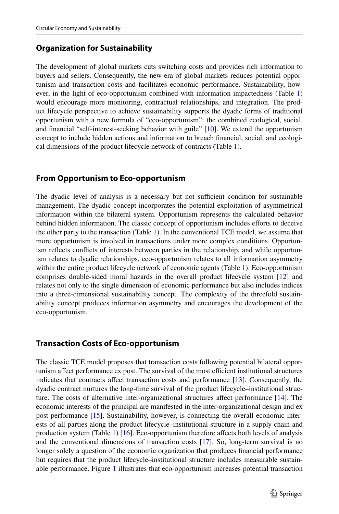## **Organization for Sustainability**

The development of global markets cuts switching costs and provides rich information to buyers and sellers. Consequently, the new era of global markets reduces potential opportunism and transaction costs and facilitates economic performance. Sustainability, however, in the light of eco-opportunism combined with information impactedness (Table [1](#page-2-0)) would encourage more monitoring, contractual relationships, and integration. The product lifecycle perspective to achieve sustainability supports the dyadic forms of traditional opportunism with a new formula of "eco-opportunism": the combined ecological, social, and fnancial "self-interest-seeking behavior with guile" [\[10\]](#page-14-9). We extend the opportunism concept to include hidden actions and information to breach fnancial, social, and ecological dimensions of the product lifecycle network of contracts (Table [1\)](#page-2-0).

## **From Opportunism to Eco‑opportunism**

The dyadic level of analysis is a necessary but not sufficient condition for sustainable management. The dyadic concept incorporates the potential exploitation of asymmetrical information within the bilateral system. Opportunism represents the calculated behavior behind hidden information. The classic concept of opportunism includes eforts to deceive the other party to the transaction (Table [1\)](#page-2-0). In the conventional TCE model, we assume that more opportunism is involved in transactions under more complex conditions. Opportunism refects conficts of interests between parties in the relationship, and while opportunism relates to dyadic relationships, eco-opportunism relates to all information asymmetry within the entire product lifecycle network of economic agents (Table [1](#page-2-0)). Eco-opportunism comprises double-sided moral hazards in the overall product lifecycle system [\[12\]](#page-14-11) and relates not only to the single dimension of economic performance but also includes indices into a three-dimensional sustainability concept. The complexity of the threefold sustainability concept produces information asymmetry and encourages the development of the eco-opportunism.

### **Transaction Costs of Eco‑opportunism**

The classic TCE model proposes that transaction costs following potential bilateral opportunism affect performance ex post. The survival of the most efficient institutional structures indicates that contracts afect transaction costs and performance [[13](#page-14-12)]. Consequently, the dyadic contract nurtures the long-time survival of the product lifecycle–institutional structure. The costs of alternative inter-organizational structures afect performance [\[14\]](#page-14-13). The economic interests of the principal are manifested in the inter-organizational design and ex post performance [\[15\]](#page-14-14). Sustainability, however, is connecting the overall economic interests of all parties along the product lifecycle–institutional structure in a supply chain and production system (Table [1](#page-2-0))  $[16]$ . Eco-opportunism therefore affects both levels of analysis and the conventional dimensions of transaction costs [\[17\]](#page-14-16). So, long-term survival is no longer solely a question of the economic organization that produces fnancial performance but requires that the product lifecycle–institutional structure includes measurable sustainable performance. Figure [1](#page-5-0) illustrates that eco-opportunism increases potential transaction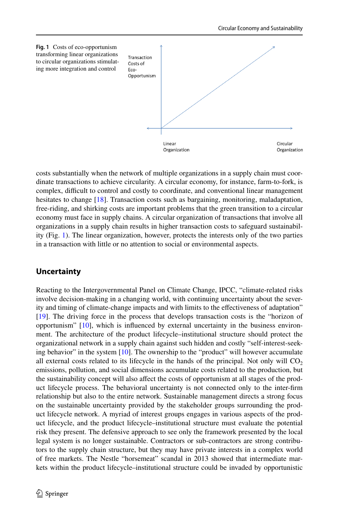<span id="page-5-0"></span>

costs substantially when the network of multiple organizations in a supply chain must coordinate transactions to achieve circularity. A circular economy, for instance, farm-to-fork, is complex, difcult to control and costly to coordinate, and conventional linear management hesitates to change [\[18\]](#page-14-17). Transaction costs such as bargaining, monitoring, maladaptation, free-riding, and shirking costs are important problems that the green transition to a circular economy must face in supply chains. A circular organization of transactions that involve all organizations in a supply chain results in higher transaction costs to safeguard sustainability (Fig. [1](#page-5-0)). The linear organization, however, protects the interests only of the two parties in a transaction with little or no attention to social or environmental aspects.

## **Uncertainty**

Reacting to the Intergovernmental Panel on Climate Change, IPCC, "climate-related risks involve decision-making in a changing world, with continuing uncertainty about the severity and timing of climate-change impacts and with limits to the efectiveness of adaptation" [[19](#page-14-18)]. The driving force in the process that develops transaction costs is the "horizon of opportunism" [\[10\]](#page-14-9), which is infuenced by external uncertainty in the business environment. The architecture of the product lifecycle–institutional structure should protect the organizational network in a supply chain against such hidden and costly "self-interest-seek-ing behavior" in the system [[10](#page-14-9)]. The ownership to the "product" will however accumulate all external costs related to its lifecycle in the hands of the principal. Not only will  $CO<sub>2</sub>$ emissions, pollution, and social dimensions accumulate costs related to the production, but the sustainability concept will also afect the costs of opportunism at all stages of the product lifecycle process. The behavioral uncertainty is not connected only to the inter-frm relationship but also to the entire network. Sustainable management directs a strong focus on the sustainable uncertainty provided by the stakeholder groups surrounding the product lifecycle network. A myriad of interest groups engages in various aspects of the product lifecycle, and the product lifecycle–institutional structure must evaluate the potential risk they present. The defensive approach to see only the framework presented by the local legal system is no longer sustainable. Contractors or sub-contractors are strong contributors to the supply chain structure, but they may have private interests in a complex world of free markets. The Nestle "horsemeat" scandal in 2013 showed that intermediate markets within the product lifecycle–institutional structure could be invaded by opportunistic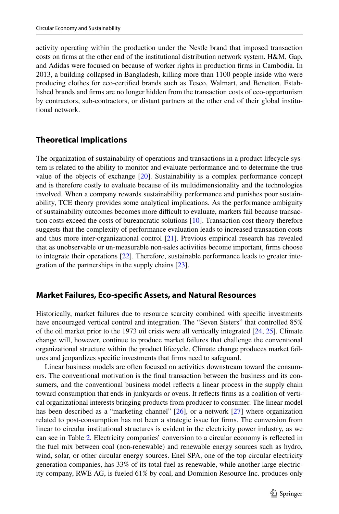activity operating within the production under the Nestle brand that imposed transaction costs on frms at the other end of the institutional distribution network system. H&M, Gap, and Adidas were focused on because of worker rights in production frms in Cambodia. In 2013, a building collapsed in Bangladesh, killing more than 1100 people inside who were producing clothes for eco-certifed brands such as Tesco, Walmart, and Benetton. Established brands and frms are no longer hidden from the transaction costs of eco-opportunism by contractors, sub-contractors, or distant partners at the other end of their global institutional network.

## **Theoretical Implications**

The organization of sustainability of operations and transactions in a product lifecycle system is related to the ability to monitor and evaluate performance and to determine the true value of the objects of exchange [\[20\]](#page-14-19). Sustainability is a complex performance concept and is therefore costly to evaluate because of its multidimensionality and the technologies involved. When a company rewards sustainability performance and punishes poor sustainability, TCE theory provides some analytical implications. As the performance ambiguity of sustainability outcomes becomes more difcult to evaluate, markets fail because transaction costs exceed the costs of bureaucratic solutions [\[10\]](#page-14-9). Transaction cost theory therefore suggests that the complexity of performance evaluation leads to increased transaction costs and thus more inter-organizational control [\[21\]](#page-14-20). Previous empirical research has revealed that as unobservable or un-measurable non-sales activities become important, frms choose to integrate their operations [\[22\]](#page-14-21). Therefore, sustainable performance leads to greater integration of the partnerships in the supply chains [[23](#page-14-22)].

### **Market Failures, Eco‑specifc Assets, and Natural Resources**

Historically, market failures due to resource scarcity combined with specifc investments have encouraged vertical control and integration. The "Seven Sisters" that controlled 85% of the oil market prior to the 1973 oil crisis were all vertically integrated [\[24,](#page-15-0) [25](#page-15-1)]. Climate change will, however, continue to produce market failures that challenge the conventional organizational structure within the product lifecycle. Climate change produces market failures and jeopardizes specifc investments that frms need to safeguard.

Linear business models are often focused on activities downstream toward the consumers. The conventional motivation is the fnal transaction between the business and its consumers, and the conventional business model reflects a linear process in the supply chain toward consumption that ends in junkyards or ovens. It refects frms as a coalition of vertical organizational interests bringing products from producer to consumer. The linear model has been described as a "marketing channel"  $[26]$  $[26]$  $[26]$ , or a network  $[27]$  $[27]$  $[27]$  where organization related to post-consumption has not been a strategic issue for frms. The conversion from linear to circular institutional structures is evident in the electricity power industry, as we can see in Table [2.](#page-7-0) Electricity companies' conversion to a circular economy is refected in the fuel mix between coal (non-renewable) and renewable energy sources such as hydro, wind, solar, or other circular energy sources. Enel SPA, one of the top circular electricity generation companies, has 33% of its total fuel as renewable, while another large electricity company, RWE AG, is fueled 61% by coal, and Dominion Resource Inc. produces only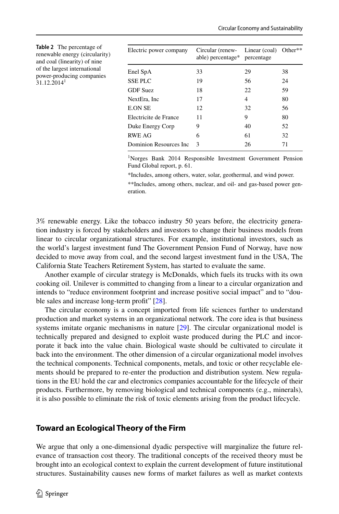<span id="page-7-0"></span>

| <b>Table 2</b> The percentage of<br>renewable energy (circularity)<br>and coal (linearity) of nine<br>of the largest international<br>power-producing companies | Electric power company  | Circular (renew-<br>able) percentage* | Linear (coal)<br>percentage | Other $**$ |
|-----------------------------------------------------------------------------------------------------------------------------------------------------------------|-------------------------|---------------------------------------|-----------------------------|------------|
|                                                                                                                                                                 | Enel SpA                | 33                                    | 29                          | 38         |
| 31.12.2014 <sup>1</sup>                                                                                                                                         | <b>SSEPLC</b>           | 19                                    | 56                          | 24         |
|                                                                                                                                                                 | <b>GDF</b> Suez         | 18                                    | 22                          | 59         |
|                                                                                                                                                                 | NextEra, Inc.           | 17                                    | 4                           | 80         |
|                                                                                                                                                                 | <b>E.ON SE</b>          | 12                                    | 32                          | 56         |
|                                                                                                                                                                 | Electricite de France   | 11                                    | 9                           | 80         |
|                                                                                                                                                                 | Duke Energy Corp        | 9                                     | 40                          | 52         |
|                                                                                                                                                                 | <b>RWE AG</b>           | 6                                     | 61                          | 32         |
|                                                                                                                                                                 | Dominion Resources Inc. | 3                                     | 26                          | 71         |

<sup>1</sup>Norges Bank 2014 Responsible Investment Government Pension Fund Global report, p. 61.

\*Includes, among others, water, solar, geothermal, and wind power.

\*\*Includes, among others, nuclear, and oil- and gas-based power generation.

3% renewable energy. Like the tobacco industry 50 years before, the electricity generation industry is forced by stakeholders and investors to change their business models from linear to circular organizational structures. For example, institutional investors, such as the world's largest investment fund The Government Pension Fund of Norway, have now decided to move away from coal, and the second largest investment fund in the USA, The California State Teachers Retirement System, has started to evaluate the same.

Another example of circular strategy is McDonalds, which fuels its trucks with its own cooking oil. Unilever is committed to changing from a linear to a circular organization and intends to "reduce environment footprint and increase positive social impact" and to "dou-ble sales and increase long-term profit" [[28](#page-15-4)].

The circular economy is a concept imported from life sciences further to understand production and market systems in an organizational network. The core idea is that business systems imitate organic mechanisms in nature [[29](#page-15-5)]. The circular organizational model is technically prepared and designed to exploit waste produced during the PLC and incorporate it back into the value chain. Biological waste should be cultivated to circulate it back into the environment. The other dimension of a circular organizational model involves the technical components. Technical components, metals, and toxic or other recyclable elements should be prepared to re-enter the production and distribution system. New regulations in the EU hold the car and electronics companies accountable for the lifecycle of their products. Furthermore, by removing biological and technical components (e.g., minerals), it is also possible to eliminate the risk of toxic elements arising from the product lifecycle.

#### **Toward an Ecological Theory of the Firm**

We argue that only a one-dimensional dyadic perspective will marginalize the future relevance of transaction cost theory. The traditional concepts of the received theory must be brought into an ecological context to explain the current development of future institutional structures. Sustainability causes new forms of market failures as well as market contexts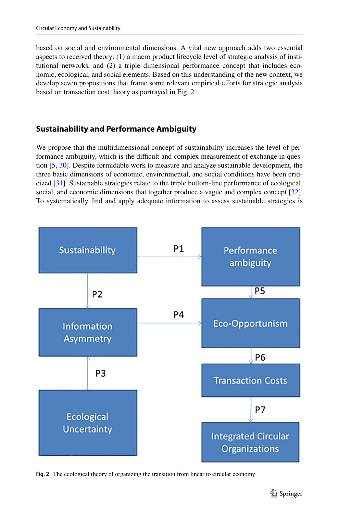based on social and environmental dimensions. A vital new approach adds two essential aspects to received theory: (1) a macro product lifecycle level of strategic analysis of institutional networks, and (2) a triple dimensional performance concept that includes economic, ecological, and social elements. Based on this understanding of the new context, we develop seven propositions that frame some relevant empirical eforts for strategic analysis based on transaction cost theory as portrayed in Fig. [2.](#page-8-0)

## **Sustainability and Performance Ambiguity**

We propose that the multidimensional concept of sustainability increases the level of performance ambiguity, which is the difficult and complex measurement of exchange in question [\[5,](#page-14-4) [30](#page-15-6)]. Despite formidable work to measure and analyze sustainable development, the three basic dimensions of economic, environmental, and social conditions have been criticized [\[31\]](#page-15-7). Sustainable strategies relate to the triple bottom-line performance of ecological, social, and economic dimensions that together produce a vague and complex concept [[32](#page-15-8)]. To systematically fnd and apply adequate information to assess sustainable strategies is



<span id="page-8-0"></span>**Fig. 2** The ecological theory of organizing the transition from linear to circular economy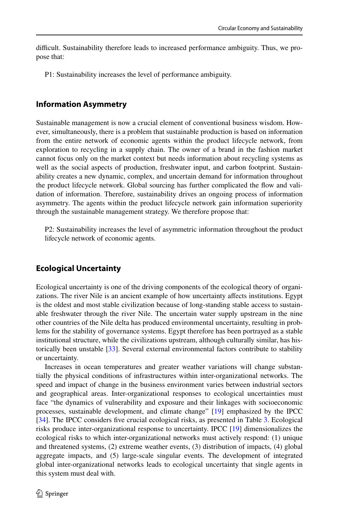difficult. Sustainability therefore leads to increased performance ambiguity. Thus, we propose that:

P1: Sustainability increases the level of performance ambiguity.

### **Information Asymmetry**

Sustainable management is now a crucial element of conventional business wisdom. However, simultaneously, there is a problem that sustainable production is based on information from the entire network of economic agents within the product lifecycle network, from exploration to recycling in a supply chain. The owner of a brand in the fashion market cannot focus only on the market context but needs information about recycling systems as well as the social aspects of production, freshwater input, and carbon footprint. Sustainability creates a new dynamic, complex, and uncertain demand for information throughout the product lifecycle network. Global sourcing has further complicated the fow and validation of information. Therefore, sustainability drives an ongoing process of information asymmetry. The agents within the product lifecycle network gain information superiority through the sustainable management strategy. We therefore propose that:

P2: Sustainability increases the level of asymmetric information throughout the product lifecycle network of economic agents.

#### **Ecological Uncertainty**

Ecological uncertainty is one of the driving components of the ecological theory of organizations. The river Nile is an ancient example of how uncertainty afects institutions. Egypt is the oldest and most stable civilization because of long-standing stable access to sustainable freshwater through the river Nile. The uncertain water supply upstream in the nine other countries of the Nile delta has produced environmental uncertainty, resulting in problems for the stability of governance systems. Egypt therefore has been portrayed as a stable institutional structure, while the civilizations upstream, although culturally similar, has historically been unstable [\[33\]](#page-15-9). Several external environmental factors contribute to stability or uncertainty.

Increases in ocean temperatures and greater weather variations will change substantially the physical conditions of infrastructures within inter-organizational networks. The speed and impact of change in the business environment varies between industrial sectors and geographical areas. Inter-organizational responses to ecological uncertainties must face "the dynamics of vulnerability and exposure and their linkages with socioeconomic processes, sustainable development, and climate change" [[19](#page-14-18)] emphasized by the IPCC [[34](#page-15-10)]. The IPCC considers fve crucial ecological risks, as presented in Table [3.](#page-10-0) Ecological risks produce inter-organizational response to uncertainty. IPCC [[19](#page-14-18)] dimensionalizes the ecological risks to which inter-organizational networks must actively respond: (1) unique and threatened systems, (2) extreme weather events, (3) distribution of impacts, (4) global aggregate impacts, and (5) large-scale singular events. The development of integrated global inter-organizational networks leads to ecological uncertainty that single agents in this system must deal with.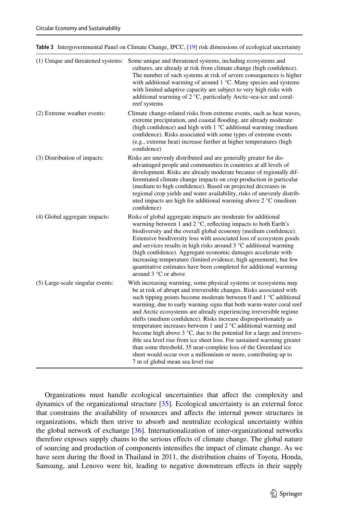<span id="page-10-0"></span>

| Table 3 Intergovernmental Panel on Climate Change, IPCC, [19] risk dimensions of ecological uncertainty |  |
|---------------------------------------------------------------------------------------------------------|--|
|---------------------------------------------------------------------------------------------------------|--|

|                                  | (1) Unique and threatened systems: Some unique and threatened systems, including ecosystems and<br>cultures, are already at risk from climate change (high confidence).<br>The number of such systems at risk of severe consequences is higher<br>with additional warming of around $1^{\circ}$ C. Many species and systems<br>with limited adaptive capacity are subject to very high risks with<br>additional warming of 2 °C, particularly Arctic-sea-ice and coral-<br>reef systems                                                                                                                                                                                                                                                                                                                                                            |
|----------------------------------|----------------------------------------------------------------------------------------------------------------------------------------------------------------------------------------------------------------------------------------------------------------------------------------------------------------------------------------------------------------------------------------------------------------------------------------------------------------------------------------------------------------------------------------------------------------------------------------------------------------------------------------------------------------------------------------------------------------------------------------------------------------------------------------------------------------------------------------------------|
| (2) Extreme weather events:      | Climate change-related risks from extreme events, such as heat waves,<br>extreme precipitation, and coastal flooding, are already moderate<br>(high confidence) and high with $1 \degree C$ additional warming (medium<br>confidence). Risks associated with some types of extreme events<br>(e.g., extreme heat) increase further at higher temperatures (high<br>confidence)                                                                                                                                                                                                                                                                                                                                                                                                                                                                     |
| (3) Distribution of impacts:     | Risks are unevenly distributed and are generally greater for dis-<br>advantaged people and communities in countries at all levels of<br>development. Risks are already moderate because of regionally dif-<br>ferentiated climate change impacts on crop production in particular<br>(medium to high confidence). Based on projected decreases in<br>regional crop yields and water availability, risks of unevenly distrib-<br>uted impacts are high for additional warming above $2^{\circ}$ C (medium<br>confidence)                                                                                                                                                                                                                                                                                                                            |
| (4) Global aggregate impacts:    | Risks of global aggregate impacts are moderate for additional<br>warming between 1 and 2 $^{\circ}$ C, reflecting impacts to both Earth's<br>biodiversity and the overall global economy (medium confidence).<br>Extensive biodiversity loss with associated loss of ecosystem goods<br>and services results in high risks around $3^{\circ}$ C additional warming<br>(high confidence). Aggregate economic damages accelerate with<br>increasing temperature (limited evidence, high agreement), but few<br>quantitative estimates have been completed for additional warming<br>around 3 °C or above                                                                                                                                                                                                                                             |
| (5) Large-scale singular events: | With increasing warming, some physical systems or ecosystems may<br>be at risk of abrupt and irreversible changes. Risks associated with<br>such tipping points become moderate between 0 and $1^{\circ}$ C additional<br>warming, due to early warning signs that both warm-water coral reef<br>and Arctic ecosystems are already experiencing irreversible regime<br>shifts (medium confidence). Risks increase disproportionately as<br>temperature increases between 1 and 2 °C additional warming and<br>become high above $3^{\circ}$ C, due to the potential for a large and irrevers-<br>ible sea level rise from ice sheet loss. For sustained warming greater<br>than some threshold, 35 near-complete loss of the Greenland ice<br>sheet would occur over a millennium or more, contributing up to<br>7 m of global mean sea level rise |

Organizations must handle ecological uncertainties that afect the complexity and dynamics of the organizational structure [\[35\]](#page-15-11). Ecological uncertainty is an external force that constrains the availability of resources and afects the internal power structures in organizations, which then strive to absorb and neutralize ecological uncertainty within the global network of exchange [\[36\]](#page-15-12). Internationalization of inter-organizational networks therefore exposes supply chains to the serious efects of climate change. The global nature of sourcing and production of components intensifes the impact of climate change. As we have seen during the food in Thailand in 2011, the distribution chains of Toyota, Honda, Samsung, and Lenovo were hit, leading to negative downstream efects in their supply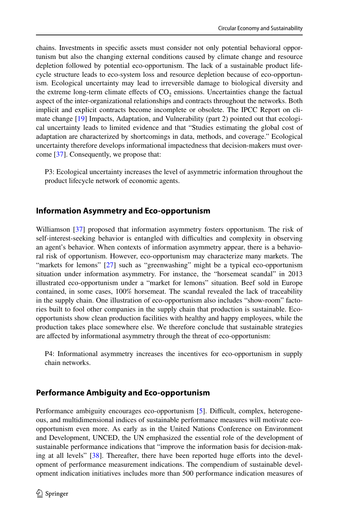chains. Investments in specifc assets must consider not only potential behavioral opportunism but also the changing external conditions caused by climate change and resource depletion followed by potential eco-opportunism. The lack of a sustainable product lifecycle structure leads to eco-system loss and resource depletion because of eco-opportunism. Ecological uncertainty may lead to irreversible damage to biological diversity and the extreme long-term climate effects of  $CO<sub>2</sub>$  emissions. Uncertainties change the factual aspect of the inter-organizational relationships and contracts throughout the networks. Both implicit and explicit contracts become incomplete or obsolete. The IPCC Report on climate change [\[19\]](#page-14-18) Impacts, Adaptation, and Vulnerability (part 2) pointed out that ecological uncertainty leads to limited evidence and that "Studies estimating the global cost of adaptation are characterized by shortcomings in data, methods, and coverage." Ecological uncertainty therefore develops informational impactedness that decision-makers must overcome [[37](#page-15-13)]. Consequently, we propose that:

P3: Ecological uncertainty increases the level of asymmetric information throughout the product lifecycle network of economic agents.

### **Information Asymmetry and Eco‑opportunism**

Williamson [[37](#page-15-13)] proposed that information asymmetry fosters opportunism. The risk of self-interest-seeking behavior is entangled with difculties and complexity in observing an agent's behavior. When contexts of information asymmetry appear, there is a behavioral risk of opportunism. However, eco-opportunism may characterize many markets. The "markets for lemons" [[27](#page-15-3)] such as "greenwashing" might be a typical eco-opportunism situation under information asymmetry. For instance, the "horsemeat scandal" in 2013 illustrated eco-opportunism under a "market for lemons" situation. Beef sold in Europe contained, in some cases, 100% horsemeat. The scandal revealed the lack of traceability in the supply chain. One illustration of eco-opportunism also includes "show-room" factories built to fool other companies in the supply chain that production is sustainable. Ecoopportunists show clean production facilities with healthy and happy employees, while the production takes place somewhere else. We therefore conclude that sustainable strategies are afected by informational asymmetry through the threat of eco-opportunism:

P4: Informational asymmetry increases the incentives for eco-opportunism in supply chain networks.

#### **Performance Ambiguity and Eco‑opportunism**

Performance ambiguity encourages eco-opportunism [\[5](#page-14-4)]. Difficult, complex, heterogeneous, and multidimensional indices of sustainable performance measures will motivate ecoopportunism even more. As early as in the United Nations Conference on Environment and Development, UNCED, the UN emphasized the essential role of the development of sustainable performance indications that "improve the information basis for decision-mak-ing at all levels" [\[38\]](#page-15-14). Thereafter, there have been reported huge efforts into the development of performance measurement indications. The compendium of sustainable development indication initiatives includes more than 500 performance indication measures of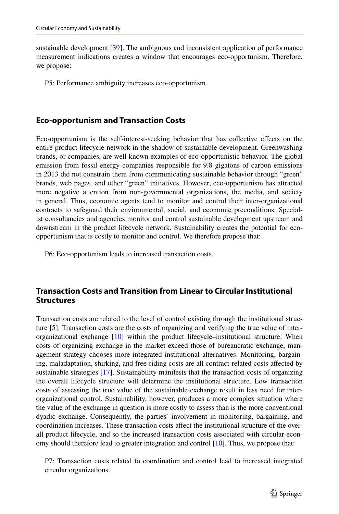sustainable development [[39](#page-15-15)]. The ambiguous and inconsistent application of performance measurement indications creates a window that encourages eco-opportunism. Therefore, we propose:

P5: Performance ambiguity increases eco-opportunism.

## **Eco‑opportunism and Transaction Costs**

Eco-opportunism is the self-interest-seeking behavior that has collective efects on the entire product lifecycle network in the shadow of sustainable development. Greenwashing brands, or companies, are well known examples of eco-opportunistic behavior. The global emission from fossil energy companies responsible for 9.8 gigatons of carbon emissions in 2013 did not constrain them from communicating sustainable behavior through "green" brands, web pages, and other "green" initiatives. However, eco-opportunism has attracted more negative attention from non-governmental organizations, the media, and society in general. Thus, economic agents tend to monitor and control their inter-organizational contracts to safeguard their environmental, social, and economic preconditions. Specialist consultancies and agencies monitor and control sustainable development upstream and downstream in the product lifecycle network. Sustainability creates the potential for ecoopportunism that is costly to monitor and control. We therefore propose that:

P6: Eco-opportunism leads to increased transaction costs.

## **Transaction Costs and Transition from Linear to Circular Institutional Structures**

Transaction costs are related to the level of control existing through the institutional structure [\[5](#page-14-4)]. Transaction costs are the costs of organizing and verifying the true value of interorganizational exchange [[10](#page-14-9)] within the product lifecycle–institutional structure. When costs of organizing exchange in the market exceed those of bureaucratic exchange, management strategy chooses more integrated institutional alternatives. Monitoring, bargaining, maladaptation, shirking, and free-riding costs are all contract-related costs afected by sustainable strategies [\[17\]](#page-14-16). Sustainability manifests that the transaction costs of organizing the overall lifecycle structure will determine the institutional structure. Low transaction costs of assessing the true value of the sustainable exchange result in less need for interorganizational control. Sustainability, however, produces a more complex situation where the value of the exchange in question is more costly to assess than is the more conventional dyadic exchange. Consequently, the parties' involvement in monitoring, bargaining, and coordination increases. These transaction costs afect the institutional structure of the overall product lifecycle, and so the increased transaction costs associated with circular economy should therefore lead to greater integration and control [[10](#page-14-9)]. Thus, we propose that:

P7: Transaction costs related to coordination and control lead to increased integrated circular organizations.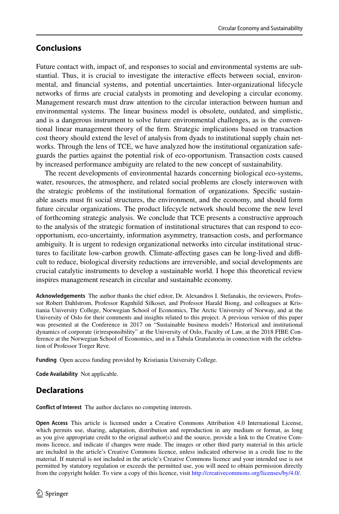## **Conclusions**

Future contact with, impact of, and responses to social and environmental systems are substantial. Thus, it is crucial to investigate the interactive effects between social, environmental, and fnancial systems, and potential uncertainties. Inter-organizational lifecycle networks of frms are crucial catalysts in promoting and developing a circular economy. Management research must draw attention to the circular interaction between human and environmental systems. The linear business model is obsolete, outdated, and simplistic, and is a dangerous instrument to solve future environmental challenges, as is the conventional linear management theory of the frm. Strategic implications based on transaction cost theory should extend the level of analysis from dyads to institutional supply chain networks. Through the lens of TCE, we have analyzed how the institutional organization safeguards the parties against the potential risk of eco-opportunism. Transaction costs caused by increased performance ambiguity are related to the new concept of sustainability.

The recent developments of environmental hazards concerning biological eco-systems, water, resources, the atmosphere, and related social problems are closely interwoven with the strategic problems of the institutional formation of organizations. Specifc sustainable assets must ft social structures, the environment, and the economy, and should form future circular organizations. The product lifecycle network should become the new level of forthcoming strategic analysis. We conclude that TCE presents a constructive approach to the analysis of the strategic formation of institutional structures that can respond to ecoopportunism, eco-uncertainty, information asymmetry, transaction costs, and performance ambiguity. It is urgent to redesign organizational networks into circular institutional structures to facilitate low-carbon growth. Climate-affecting gases can be long-lived and difficult to reduce, biological diversity reductions are irreversible, and social developments are crucial catalytic instruments to develop a sustainable world. I hope this theoretical review inspires management research in circular and sustainable economy.

**Acknowledgements** The author thanks the chief editor, Dr. Alexandros I. Stefanakis, the reviewers, Professor Robert Dahlstrom, Professor Ragnhild Silkoset, and Professor Harald Biong, and colleagues at Kristiania University College, Norwegian School of Economics, The Arctic University of Norway, and at the University of Oslo for their comments and insights related to this project. A previous version of this paper was presented at the Conference in 2017 on "Sustainable business models? Historical and institutional dynamics of corporate (ir)responsibility" at the University of Oslo, Faculty of Law, at the 2018 FIBE Conference at the Norwegian School of Economics, and in a Tabula Gratulatoria in connection with the celebration of Professor Torger Reve.

**Funding** Open access funding provided by Kristiania University College.

**Code Availability** Not applicable.

## **Declarations**

**Confict of Interest** The author declares no competing interests.

**Open Access** This article is licensed under a Creative Commons Attribution 4.0 International License, which permits use, sharing, adaptation, distribution and reproduction in any medium or format, as long as you give appropriate credit to the original author(s) and the source, provide a link to the Creative Commons licence, and indicate if changes were made. The images or other third party material in this article are included in the article's Creative Commons licence, unless indicated otherwise in a credit line to the material. If material is not included in the article's Creative Commons licence and your intended use is not permitted by statutory regulation or exceeds the permitted use, you will need to obtain permission directly from the copyright holder. To view a copy of this licence, visit [http://creativecommons.org/licenses/by/4.0/.](http://creativecommons.org/licenses/by/4.0/)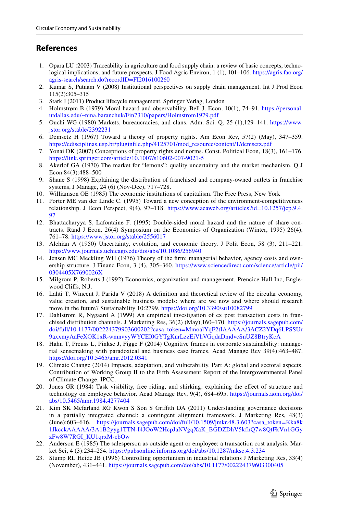## **References**

- <span id="page-14-0"></span>1. Opara LU (2003) Traceability in agriculture and food supply chain: a review of basic concepts, technological implications, and future prospects. J Food Agric Environ, 1 (1), 101–106. [https://agris.fao.org/](https://agris.fao.org/agris-search/search.do?recordID=FI2016100260) [agris-search/search.do?recordID=FI2016100260](https://agris.fao.org/agris-search/search.do?recordID=FI2016100260)
- <span id="page-14-1"></span>2. Kumar S, Putnam V (2008) Institutional perspectives on supply chain management. Int J Prod Econ 115(2):305–315
- <span id="page-14-2"></span>3. Stark J (2011) Product lifecycle management. Springer Verlag, London
- <span id="page-14-3"></span>4. Holmstrøm B (1979) Moral hazard and observability. Bell J. Econ, 10(1), 74–91. [https://personal.](https://personal.utdallas.edu/~nina.baranchuk/Fin7310/papers/Holmstrom1979.pdf) [utdallas.edu/~nina.baranchuk/Fin7310/papers/Holmstrom1979.pdf](https://personal.utdallas.edu/~nina.baranchuk/Fin7310/papers/Holmstrom1979.pdf)
- <span id="page-14-4"></span>5. Ouchi WG (1980) Markets, bureaucracies, and clans. Adm. Sci. Q, 25 (1),129–141. [https://www.](https://www.jstor.org/stable/2392231) [jstor.org/stable/2392231](https://www.jstor.org/stable/2392231)
- <span id="page-14-5"></span>6. Demsetz H (1967) Toward a theory of property rights. Am Econ Rev, 57(2) (May), 347–359. [https://edisciplinas.usp.br/pluginfle.php/4125701/mod\\_resource/content/1/demsetz.pdf](https://edisciplinas.usp.br/pluginfile.php/4125701/mod_resource/content/1/demsetz.pdf)
- <span id="page-14-6"></span>7. Yonai DK (2007) Conceptions of property rights and norms. Const. Political Econ, 18(3), 161–176. <https://link.springer.com/article/10.1007/s10602-007-9021-5>
- <span id="page-14-7"></span>8. Akerlof GA (1970) The market for "lemons": quality uncertainty and the market mechanism. Q J Econ 84(3):488–500
- <span id="page-14-8"></span>9. Shane S (1998) Explaining the distribution of franchised and company-owned outlets in franchise systems, J Manage, 24 (6) (Nov-Dec), 717–728.
- <span id="page-14-9"></span>10. Williamson OE (1985) The economic institutions of capitalism. The Free Press, New York
- <span id="page-14-10"></span>11. Porter ME van der Linde C. (1995) Toward a new conception of the environment-competitiveness relationship. J Econ Perspect, 9(4), 97–118. [https://www.aeaweb.org/articles?id=10.1257/jep.9.4.](https://www.aeaweb.org/articles?id=10.1257/jep.9.4.97) [97](https://www.aeaweb.org/articles?id=10.1257/jep.9.4.97)
- <span id="page-14-11"></span>12. Bhattacharyya S, Lafontaine F. (1995) Double-sided moral hazard and the nature of share contracts. Rand J Econ, 26(4) Symposium on the Economics of Organization (Winter, 1995) 26(4), 761–78. <https://www.jstor.org/stable/2556017>
- <span id="page-14-12"></span>13. Alchian A (1950) Uncertainty, evolution, and economic theory. J Polit Econ, 58 (3), 211–221. <https://www.journals.uchicago.edu/doi/abs/10.1086/256940>
- <span id="page-14-13"></span>14. Jensen MC Meckling WH (1976) Theory of the frm: managerial behavior, agency costs and ownership structure. J Financ Econ, 3 (4), 305–360. [https://www.sciencedirect.com/science/article/pii/](https://www.sciencedirect.com/science/article/pii/0304405X7690026X) [0304405X7690026X](https://www.sciencedirect.com/science/article/pii/0304405X7690026X)
- <span id="page-14-14"></span>15. Milgrom P, Roberts J (1992) Economics, organization and management. Prencice Hall Inc, Englewood Clifs, N.J.
- <span id="page-14-15"></span>16. Lahti T, Wincent J, Parida V (2018) A defnition and theoretical review of the circular economy, value creation, and sustainable business models: where are we now and where should research move in the future? Sustainability 10:2799. <https://doi.org/10.3390/su10082799>
- <span id="page-14-16"></span>17. Dahlstrom R, Nygaard A (1999) An empirical investigation of ex post transaction costs in franchised distribution channels. J Marketing Res, 36(2) (May),160–170. [https://journals.sagepub.com/](https://journals.sagepub.com/doi/full/10.1177/002224379903600202?casa_token=MmoalYqF2tIAAAAA/3ACZ2YDq6LPSSUr9axxmyAaFeXOK1xR-wmnvyyWYCEI0GYTgKnrLzzEiVhVGqdaDmdvcSnUZ8BtryKcA) [doi/full/10.1177/002224379903600202?casa\\_token=MmoalYqF2tIAAAAA/3ACZ2YDq6LPSSUr](https://journals.sagepub.com/doi/full/10.1177/002224379903600202?casa_token=MmoalYqF2tIAAAAA/3ACZ2YDq6LPSSUr9axxmyAaFeXOK1xR-wmnvyyWYCEI0GYTgKnrLzzEiVhVGqdaDmdvcSnUZ8BtryKcA) [9axxmyAaFeXOK1xR-wmnvyyWYCEI0GYTgKnrLzzEiVhVGqdaDmdvcSnUZ8BtryKcA](https://journals.sagepub.com/doi/full/10.1177/002224379903600202?casa_token=MmoalYqF2tIAAAAA/3ACZ2YDq6LPSSUr9axxmyAaFeXOK1xR-wmnvyyWYCEI0GYTgKnrLzzEiVhVGqdaDmdvcSnUZ8BtryKcA)
- <span id="page-14-17"></span>18. Hahn T, Preuss L, Pinkse J, Figge F (2014) Cognitive frames in corporate sustainability: managerial sensemaking with paradoxical and business case frames. Acad Manage Rev 39(4):463–487. <https://doi.org/10.5465/amr.2012.0341>
- <span id="page-14-18"></span>19. Climate Change (2014) Impacts, adaptation, and vulnerability. Part A: global and sectoral aspects. Contribution of Working Group II to the Fifth Assessment Report of the Intergovernmental Panel of Climate Change, IPCC.
- <span id="page-14-19"></span>20. Jones GR (1984) Task visibility, free riding, and shirking: explaining the efect of structure and technology on employee behavior. Acad Manage Rev, 9(4), 684–695. [https://journals.aom.org/doi/](https://journals.aom.org/doi/abs/10.5465/amr.1984.4277404) [abs/10.5465/amr.1984.4277404](https://journals.aom.org/doi/abs/10.5465/amr.1984.4277404)
- <span id="page-14-20"></span>21. Kim SK Mcfarland RG Kwon S Son S Grifth DA (2011) Understanding governance decisions in a partially integrated channel: a contingent alignment framework. J Marketing Res, 48(3) (June):603–616. [https://journals.sagepub.com/doi/full/10.1509/jmkr.48.3.603?casa\\_token=Kka8k](https://journals.sagepub.com/doi/full/10.1509/jmkr.48.3.603?casa_token=Kka8k1JkcckAAAAA/3A1B2yyg1TTN-I4JOoW2HcpJaNVgqXaK_BGDZDhV5kfhQ7w8QtFkVn1GGyzFw8W7RGI_KU1qrxM-cbOw) [1JkcckAAAAA/3A1B2yyg1TTN-I4JOoW2HcpJaNVgqXaK\\_BGDZDhV5kfhQ7w8QtFkVn1GGy](https://journals.sagepub.com/doi/full/10.1509/jmkr.48.3.603?casa_token=Kka8k1JkcckAAAAA/3A1B2yyg1TTN-I4JOoW2HcpJaNVgqXaK_BGDZDhV5kfhQ7w8QtFkVn1GGyzFw8W7RGI_KU1qrxM-cbOw) [zFw8W7RGI\\_KU1qrxM-cbOw](https://journals.sagepub.com/doi/full/10.1509/jmkr.48.3.603?casa_token=Kka8k1JkcckAAAAA/3A1B2yyg1TTN-I4JOoW2HcpJaNVgqXaK_BGDZDhV5kfhQ7w8QtFkVn1GGyzFw8W7RGI_KU1qrxM-cbOw)
- <span id="page-14-21"></span>22. Anderson E (1985) The salesperson as outside agent or employee: a transaction cost analysis. Market Sci, 4 (3):234–254. <https://pubsonline.informs.org/doi/abs/10.1287/mksc.4.3.234>
- <span id="page-14-22"></span>23. Stump RL Heide JB (1996) Controlling opportunism in industrial relations J Marketing Res, 33(4) (November), 431–441. <https://journals.sagepub.com/doi/abs/10.1177/002224379603300405>